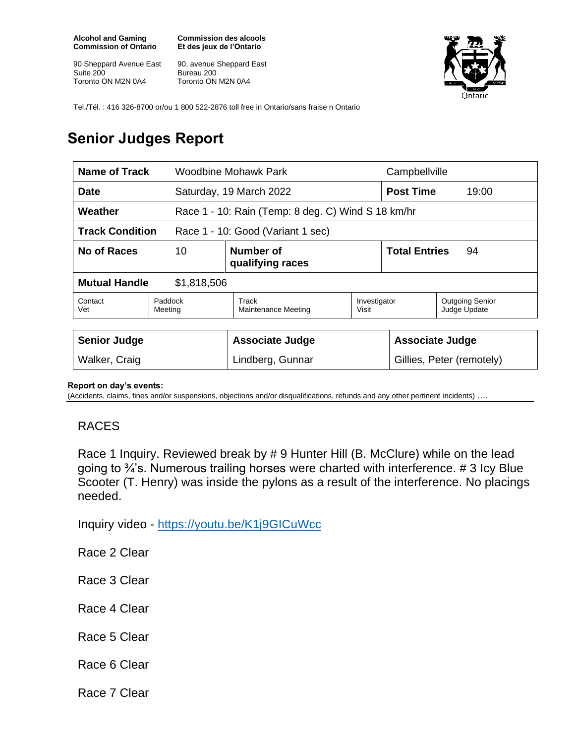**Alcohol and Gaming Commission of Ontario**

90 Sheppard Avenue East Suite 200 Toronto ON M2N 0A4

**Commission des alcools Et des jeux de l'Ontario**

90, avenue Sheppard East Bureau 200 Toronto ON M2N 0A4



Tel./Tél. : 416 326-8700 or/ou 1 800 522-2876 toll free in Ontario/sans fraise n Ontario

## **Senior Judges Report**

|                                                               | <b>Woodbine Mohawk Park</b>          |                  | Campbellville                                       |                                        |
|---------------------------------------------------------------|--------------------------------------|------------------|-----------------------------------------------------|----------------------------------------|
| Saturday, 19 March 2022                                       |                                      |                  | <b>Post Time</b><br>19:00                           |                                        |
| Weather<br>Race 1 - 10: Rain (Temp: 8 deg. C) Wind S 18 km/hr |                                      |                  |                                                     |                                        |
| <b>Track Condition</b><br>Race 1 - 10: Good (Variant 1 sec)   |                                      |                  |                                                     |                                        |
| 10                                                            | <b>Number of</b><br>qualifying races |                  | <b>Total Entries</b><br>94                          |                                        |
| <b>Mutual Handle</b><br>\$1,818,506                           |                                      |                  |                                                     |                                        |
| Paddock<br>Meeting                                            | Track<br><b>Maintenance Meeting</b>  | Visit            |                                                     | <b>Outgoing Senior</b><br>Judge Update |
|                                                               | <b>Associate Judge</b>               |                  | <b>Associate Judge</b><br>Gillies, Peter (remotely) |                                        |
|                                                               |                                      | Lindberg, Gunnar |                                                     | Investigator                           |

## **Report on day's events:**

(Accidents, claims, fines and/or suspensions, objections and/or disqualifications, refunds and any other pertinent incidents) ….

## RACES

Race 1 Inquiry. Reviewed break by # 9 Hunter Hill (B. McClure) while on the lead going to ¾'s. Numerous trailing horses were charted with interference. # 3 Icy Blue Scooter (T. Henry) was inside the pylons as a result of the interference. No placings needed.

Inquiry video - <https://youtu.be/K1j9GICuWcc>

Race 2 Clear

Race 3 Clear

Race 4 Clear

Race 5 Clear

Race 6 Clear

Race 7 Clear